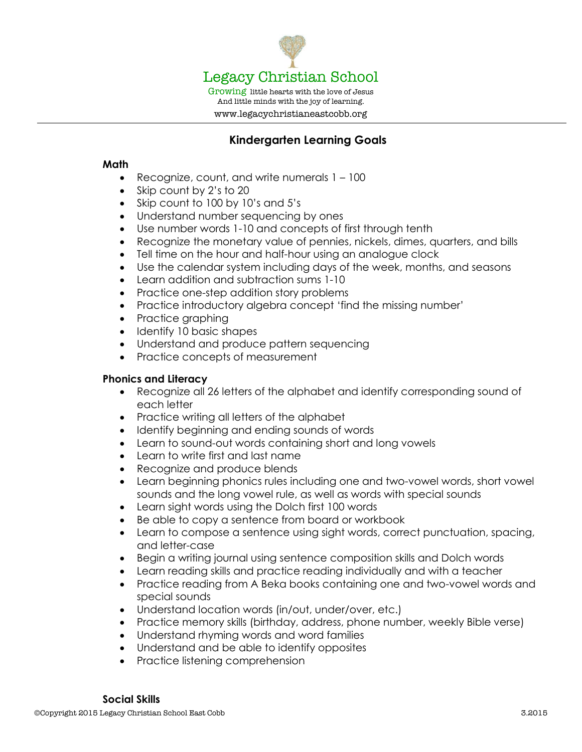

# **Kindergarten Learning Goals**

### **Math**

- Recognize, count, and write numerals 1 100
- Skip count by 2's to 20
- Skip count to 100 by 10's and 5's
- Understand number sequencing by ones
- Use number words 1-10 and concepts of first through tenth
- Recognize the monetary value of pennies, nickels, dimes, quarters, and bills
- Tell time on the hour and half-hour using an analogue clock
- Use the calendar system including days of the week, months, and seasons
- Learn addition and subtraction sums 1-10
- Practice one-step addition story problems
- Practice introductory algebra concept 'find the missing number'
- Practice graphing
- Identify 10 basic shapes
- Understand and produce pattern sequencing
- Practice concepts of measurement

## **Phonics and Literacy**

- Recognize all 26 letters of the alphabet and identify corresponding sound of each letter
- Practice writing all letters of the alphabet
- Identify beginning and ending sounds of words
- Learn to sound-out words containing short and long vowels
- Learn to write first and last name
- Recognize and produce blends
- Learn beginning phonics rules including one and two-vowel words, short vowel sounds and the long vowel rule, as well as words with special sounds
- Learn sight words using the Dolch first 100 words
- Be able to copy a sentence from board or workbook
- Learn to compose a sentence using sight words, correct punctuation, spacing, and letter-case
- Begin a writing journal using sentence composition skills and Dolch words
- Learn reading skills and practice reading individually and with a teacher
- Practice reading from A Beka books containing one and two-vowel words and special sounds
- Understand location words (in/out, under/over, etc.)
- Practice memory skills (birthday, address, phone number, weekly Bible verse)
- Understand rhyming words and word families
- Understand and be able to identify opposites
- Practice listening comprehension